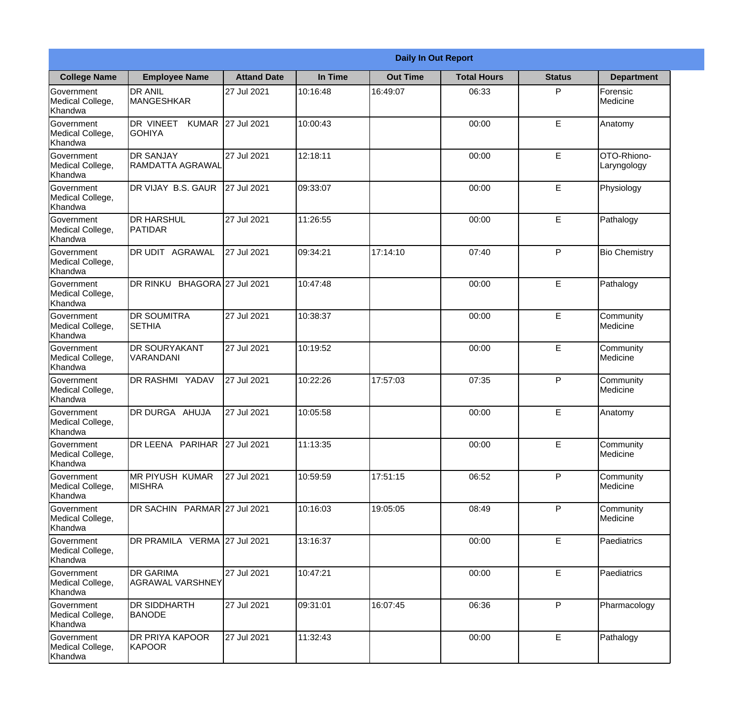|                                                  | <b>Daily In Out Report</b>                   |                    |          |                 |                    |               |                            |  |
|--------------------------------------------------|----------------------------------------------|--------------------|----------|-----------------|--------------------|---------------|----------------------------|--|
| <b>College Name</b>                              | <b>Employee Name</b>                         | <b>Attand Date</b> | In Time  | <b>Out Time</b> | <b>Total Hours</b> | <b>Status</b> | <b>Department</b>          |  |
| Government<br>Medical College,<br>Khandwa        | <b>DR ANIL</b><br><b>MANGESHKAR</b>          | 27 Jul 2021        | 10:16:48 | 16:49:07        | 06:33              | P             | Forensic<br>Medicine       |  |
| Government<br>Medical College,<br>Khandwa        | DR VINEET KUMAR 27 Jul 2021<br><b>GOHIYA</b> |                    | 10:00:43 |                 | 00:00              | $\mathsf E$   | Anatomy                    |  |
| <b>Government</b><br>Medical College,<br>Khandwa | <b>DR SANJAY</b><br>RAMDATTA AGRAWAL         | 27 Jul 2021        | 12:18:11 |                 | 00:00              | E             | OTO-Rhiono-<br>Laryngology |  |
| Government<br>Medical College,<br>Khandwa        | DR VIJAY B.S. GAUR                           | 27 Jul 2021        | 09:33:07 |                 | 00:00              | E             | Physiology                 |  |
| Government<br>Medical College,<br>Khandwa        | <b>DR HARSHUL</b><br>PATIDAR                 | 27 Jul 2021        | 11:26:55 |                 | 00:00              | E             | Pathalogy                  |  |
| Government<br>Medical College,<br>Khandwa        | DR UDIT AGRAWAL                              | 27 Jul 2021        | 09:34:21 | 17:14:10        | 07:40              | P             | <b>Bio Chemistry</b>       |  |
| Government<br>Medical College,<br>Khandwa        | DR RINKU BHAGORA 27 Jul 2021                 |                    | 10:47:48 |                 | 00:00              | E             | Pathalogy                  |  |
| Government<br>Medical College,<br>Khandwa        | <b>DR SOUMITRA</b><br><b>SETHIA</b>          | 27 Jul 2021        | 10:38:37 |                 | 00:00              | E             | Community<br>Medicine      |  |
| Government<br>Medical College,<br>Khandwa        | <b>DR SOURYAKANT</b><br>VARANDANI            | 27 Jul 2021        | 10:19:52 |                 | 00:00              | E             | Community<br>Medicine      |  |
| Government<br>Medical College,<br>Khandwa        | <b>DR RASHMI YADAV</b>                       | 27 Jul 2021        | 10:22:26 | 17:57:03        | 07:35              | P             | Community<br>Medicine      |  |
| Government<br>Medical College,<br>Khandwa        | DR DURGA AHUJA                               | 27 Jul 2021        | 10:05:58 |                 | 00:00              | E             | Anatomy                    |  |
| Government<br>Medical College,<br>Khandwa        | DR LEENA PARIHAR 27 Jul 2021                 |                    | 11:13:35 |                 | 00:00              | $\mathsf E$   | Community<br>Medicine      |  |
| Government<br>Medical College,<br>Khandwa        | <b>MR PIYUSH KUMAR</b><br><b>MISHRA</b>      | 27 Jul 2021        | 10:59:59 | 17:51:15        | 06:52              | P             | Community<br>Medicine      |  |
| Government<br>Medical College,<br>Khandwa        | DR SACHIN PARMAR 27 Jul 2021                 |                    | 10:16:03 | 19:05:05        | 08:49              | P             | Community<br>Medicine      |  |
| <b>Government</b><br>Medical College,<br>Khandwa | DR PRAMILA VERMA 27 Jul 2021                 |                    | 13:16:37 |                 | 00:00              | E             | <b>Paediatrics</b>         |  |
| Government<br>Medical College,<br>Khandwa        | <b>DR GARIMA</b><br>AGRAWAL VARSHNEY         | 27 Jul 2021        | 10:47:21 |                 | 00:00              | $\mathsf E$   | Paediatrics                |  |
| Government<br>Medical College,<br>Khandwa        | DR SIDDHARTH<br><b>BANODE</b>                | 27 Jul 2021        | 09:31:01 | 16:07:45        | 06:36              | P             | Pharmacology               |  |
| Government<br>Medical College,<br>Khandwa        | <b>DR PRIYA KAPOOR</b><br>KAPOOR             | 27 Jul 2021        | 11:32:43 |                 | 00:00              | $\mathsf E$   | Pathalogy                  |  |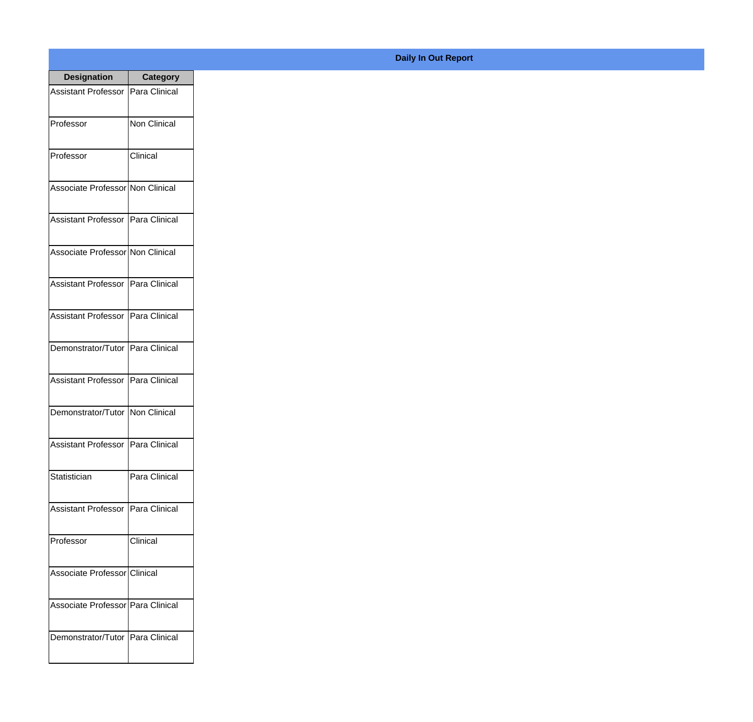| <b>Designation</b>                  | <b>Category</b>     |
|-------------------------------------|---------------------|
| <b>Assistant Professor</b>          | Para Clinical       |
| Professor                           | <b>Non Clinical</b> |
| Professor                           | Clinical            |
| Associate Professor Non Clinical    |                     |
| <b>Assistant Professor</b>          | Para Clinical       |
| Associate Professor Non Clinical    |                     |
| Assistant Professor   Para Clinical |                     |
| Assistant Professor   Para Clinical |                     |
| Demonstrator/Tutor   Para Clinical  |                     |
| Assistant Professor   Para Clinical |                     |
| Demonstrator/Tutor   Non Clinical   |                     |
| <b>Assistant Professor</b>          | Para Clinical       |
| Statistician                        | Para Clinical       |
| <b>Assistant Professor</b>          | Para Clinical       |
| Professor                           | Clinical            |
| Associate Professor Clinical        |                     |
| Associate Professor   Para Clinical |                     |
| Demonstrator/Tutor   Para Clinical  |                     |

## **Daily In Out Report**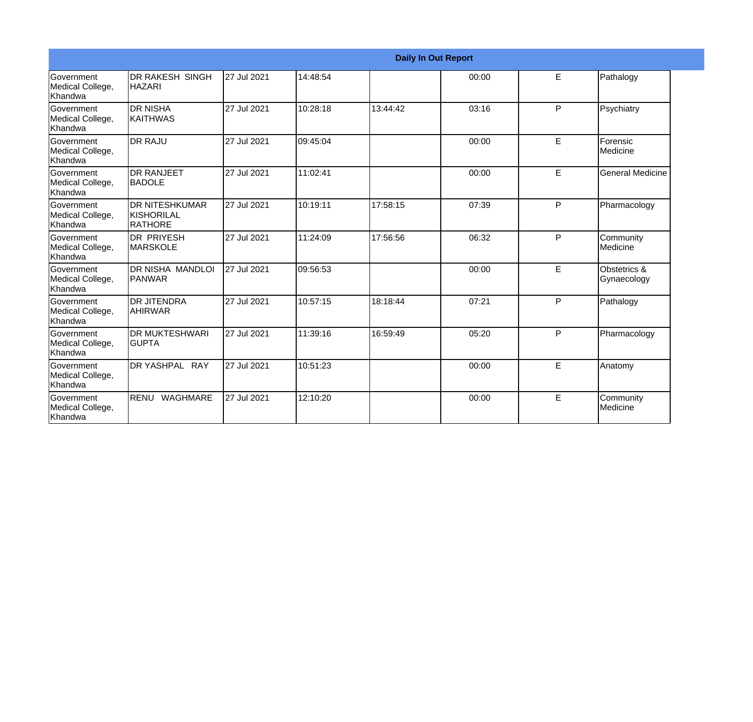|                                                         |                                                 |             |          |          | <b>Daily In Out Report</b> |   |                             |
|---------------------------------------------------------|-------------------------------------------------|-------------|----------|----------|----------------------------|---|-----------------------------|
| Government<br>Medical College,<br>Khandwa               | DR RAKESH SINGH<br><b>HAZARI</b>                | 27 Jul 2021 | 14:48:54 |          | 00:00                      | E | Pathalogy                   |
| <b>Government</b><br>Medical College,<br><b>Khandwa</b> | <b>I</b> DR NISHA<br><b>KAITHWAS</b>            | 27 Jul 2021 | 10:28:18 | 13:44:42 | 03:16                      | P | Psychiatry                  |
| <b>Government</b><br>Medical College,<br>Khandwa        | <b>IDR RAJU</b>                                 | 27 Jul 2021 | 09:45:04 |          | 00:00                      | E | Forensic<br>Medicine        |
| <b>Government</b><br>Medical College,<br>Khandwa        | <b>I</b> DR RANJEET<br>BADOLE                   | 27 Jul 2021 | 11:02:41 |          | 00:00                      | E | <b>General Medicine</b>     |
| <b>Government</b><br>Medical College,<br>Khandwa        | <b>DR NITESHKUMAR</b><br>KISHORILAL<br>IRATHORE | 27 Jul 2021 | 10:19:11 | 17:58:15 | 07:39                      | P | Pharmacology                |
| Government<br>Medical College,<br>Khandwa               | IDR PRIYESH<br><b>MARSKOLE</b>                  | 27 Jul 2021 | 11:24:09 | 17:56:56 | 06:32                      | P | Community<br>Medicine       |
| <b>Government</b><br>Medical College,<br>Khandwa        | IDR NISHA MANDLOI<br><b>PANWAR</b>              | 27 Jul 2021 | 09:56:53 |          | 00:00                      | E | Obstetrics &<br>Gynaecology |
| <b>Government</b><br>Medical College,<br><b>Khandwa</b> | IDR JITENDRA<br><b>AHIRWAR</b>                  | 27 Jul 2021 | 10:57:15 | 18:18:44 | 07:21                      | P | Pathalogy                   |
| Government<br>Medical College,<br><b>Khandwa</b>        | <b>DR MUKTESHWARI</b><br><b>I</b> GUPTA         | 27 Jul 2021 | 11:39:16 | 16:59:49 | 05:20                      | P | Pharmacology                |
| <b>Government</b><br>Medical College,<br>Khandwa        | DR YASHPAL RAY                                  | 27 Jul 2021 | 10:51:23 |          | 00:00                      | E | Anatomy                     |
| Government<br>Medical College,<br>Khandwa               | RENU WAGHMARE                                   | 27 Jul 2021 | 12:10:20 |          | 00:00                      | E | Community<br>Medicine       |